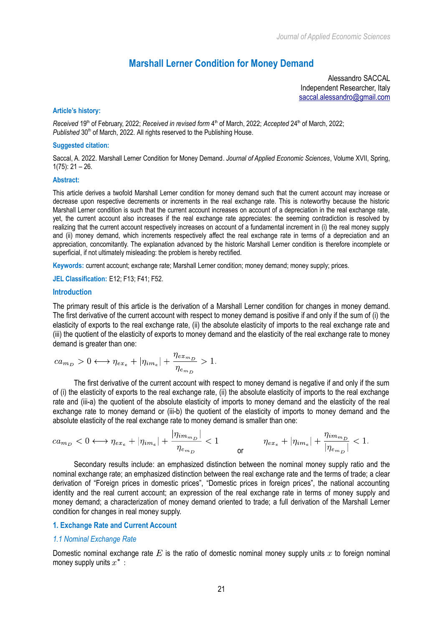# **Marshall Lerner Condition for Money Demand**

Alessandro SACCAL Independent Researcher, Italy  [saccal.alessandro@gmail.com](mailto:saccal.alessandro@gmail.com)

## **Article's history:**

*Received* 19<sup>th</sup> of February, 2022; *Received in revised form* 4<sup>th</sup> of March, 2022; *Accepted* 24<sup>th</sup> of March, 2022; Published 30<sup>th</sup> of March, 2022. All rights reserved to the Publishing House.

## **Suggested citation:**

Saccal, A. 2022. Marshall Lerner Condition for Money Demand. *Journal of Applied Economic Sciences*, Volume XVII, Spring, 1(75): 21 – 26.

## **Abstract:**

This article derives a twofold Marshall Lerner condition for money demand such that the current account may increase or decrease upon respective decrements or increments in the real exchange rate. This is noteworthy because the historic Marshall Lerner condition is such that the current account increases on account of a depreciation in the real exchange rate, yet, the current account also increases if the real exchange rate appreciates: the seeming contradiction is resolved by realizing that the current account respectively increases on account of a fundamental increment in (i) the real money supply and (ii) money demand, which increments respectively affect the real exchange rate in terms of a depreciation and an appreciation, concomitantly. The explanation advanced by the historic Marshall Lerner condition is therefore incomplete or superficial, if not ultimately misleading: the problem is hereby rectified.

**Keywords:** current account; exchange rate; Marshall Lerner condition; money demand; money supply; prices.

**JEL Classification:** E12; F13; F41; F52.

## **Introduction**

The primary result of this article is the derivation of a Marshall Lerner condition for changes in money demand. The first derivative of the current account with respect to money demand is positive if and only if the sum of (i) the elasticity of exports to the real exchange rate, (ii) the absolute elasticity of imports to the real exchange rate and (iii) the quotient of the elasticity of exports to money demand and the elasticity of the real exchange rate to money demand is greater than one:

$$
ca_{m_D} > 0 \longleftrightarrow \eta_{ex_e} + |\eta_{im_e}| + \frac{\eta_{ex_{m_D}}}{\eta_{em_D}} > 1.
$$

The first derivative of the current account with respect to money demand is negative if and only if the sum of (i) the elasticity of exports to the real exchange rate, (ii) the absolute elasticity of imports to the real exchange rate and (iii-a) the quotient of the absolute elasticity of imports to money demand and the elasticity of the real exchange rate to money demand or (iii-b) the quotient of the elasticity of imports to money demand and the absolute elasticity of the real exchange rate to money demand is smaller than one:

$$
ca_{m_D} < 0 \longleftrightarrow \eta_{ex_e} + |\eta_{im_e}| + \frac{|\eta_{im_{m_D}}|}{\eta_{e_{m_D}}} < 1 \qquad \eta_{ex_e} + |\eta_{im_e}| + \frac{\eta_{im_{m_D}}}{|\eta_{e_{m_D}}|} < 1.
$$

Secondary results include: an emphasized distinction between the nominal money supply ratio and the nominal exchange rate; an emphasized distinction between the real exchange rate and the terms of trade; a clear derivation of "Foreign prices in domestic prices", "Domestic prices in foreign prices", the national accounting identity and the real current account; an expression of the real exchange rate in terms of money supply and money demand; a characterization of money demand oriented to trade; a full derivation of the Marshall Lerner condition for changes in real money supply.

## **1. Exchange Rate and Current Account**

## *1.1 Nominal Exchange Rate*

Domestic nominal exchange rate  $E$  is the ratio of domestic nominal money supply units x to foreign nominal money supply units  $x^*$ :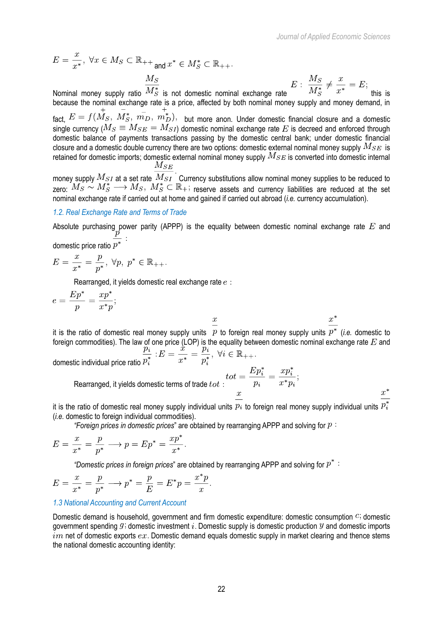$$
E = \frac{x}{x^*}, \ \forall x \in M_S \subset \mathbb{R}_{++} \text{ and } x^* \in M_S^* \subset \mathbb{R}_{++}.
$$
\nNormal money supply ratio  $\frac{M_S}{M_S^*}$  is not domestic nominal exchange rate

\n
$$
E: \ \frac{M_S}{M_S^*} \neq \frac{x}{x^*} = E;
$$

because the nominal exchange rate is a price, affected by both nominal money supply and money demand, in fact,  $E = f(\stackrel{\leftarrow}{M_S}, \stackrel{\leftarrow}{M_S}, \stackrel{\leftarrow}{m_D}, \stackrel{+}{m_D})$ , but more anon. Under domestic financial closure and a domestic single currency ( $M_S \equiv M_{SE} = M_{SI}$ ) domestic nominal exchange rate E is decreed and enforced through domestic balance of payments transactions passing by the domestic central bank; under domestic financial closure and a domestic double currency there are two options: domestic external nominal money supply  $M_{SE}$  is retained for domestic imports; domestic external nominal money supply  $M_{SE}$  is converted into domestic internal  $M_{SE}$ 

money supply  $M_{SI}$  at a set rate  $\overline{M_{SI}}$ . Currency substitutions allow nominal money supplies to be reduced to zero:  $M_S \sim M_S^* \longrightarrow M_S$ ,  $M_S^* \subset \mathbb{R}_+$ ; reserve assets and currency liabilities are reduced at the set nominal exchange rate if carried out at home and gained if carried out abroad (*i.e.* currency accumulation).

#### *1.2. Real Exchange Rate and Terms of Trade*

Absolute purchasing power parity (APPP) is the equality between domestic nominal exchange rate  $E$  and domestic price ratio  $p^*$ 

$$
E = \frac{x}{x^*} = \frac{p}{p^*}, \ \forall p, \ p^* \in \mathbb{R}_{++}.
$$

Rearranged, it yields domestic real exchange rate  $e$ :

$$
e = \frac{Ep^*}{p} = \frac{xp^*}{x^*p};
$$

it is the ratio of domestic real money supply units  $p$  to foreign real money supply units  $p^*$  (*i.e.* domestic to foreign commodities). The law of one price (LOP) is the equality between domestic nominal exchange rate  $E$  and domestic individual price ratio

Rearranged, it yields domestic terms of trade  $tot$  :  $\frac{Ep_i^*}{p_i} = \frac{xp_i^*}{x^*p_i};$ 

 $x^*$ 

it is the ratio of domestic real money supply individual units  $pi$  to foreign real money supply individual units  $p_i^*$ (*i.e.* domestic to foreign individual commodities).

*"Foreign prices in domestic prices*" are obtained by rearranging APPP and solving for

$$
E = \frac{x}{x^*} = \frac{p}{p^*} \longrightarrow p = Ep^* = \frac{xp^*}{x^*}
$$

*"Domestic prices in foreign prices*" are obtained by rearranging APPP and solving for

$$
E = \frac{x}{x^*} = \frac{p}{p^*} \longrightarrow p^* = \frac{p}{E} = E^*p = \frac{x^*p}{x}.
$$

#### *1.3 National Accounting and Current Account*

Domestic demand is household, government and firm domestic expenditure: domestic consumption  $C$ ; domestic government spending  $g_i$  domestic investment i. Domestic supply is domestic production  $y$  and domestic imports im net of domestic exports  $ex$ . Domestic demand equals domestic supply in market clearing and thence stems the national domestic accounting identity: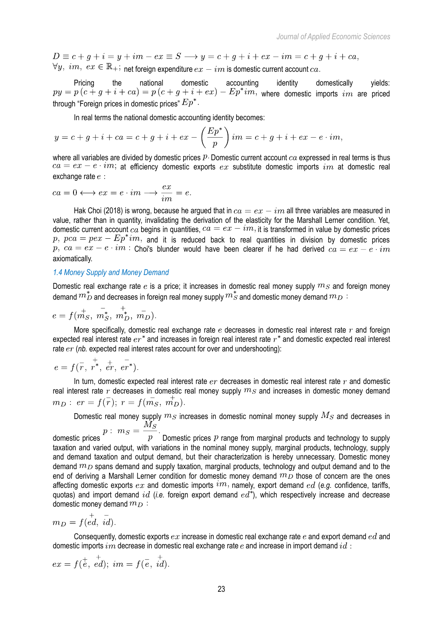$$
D \equiv c + g + i = y + im - ex \equiv S \longrightarrow y = c + g + i + ex - im = c + g + i + ca,
$$
  
\n $\forall y, im, ex \in \mathbb{R}_+$ ; net foreign expenditure  $ex - im$  is domestic current account  $ca$ .

Pricing the national domestic accounting identity domestically yields:  $py = p(c + g + i + ca) = p(c + g + i + ex) - Ep^*im$ , where domestic imports im are priced through "Foreign prices in domestic prices"  $Ep^*$ .

In real terms the national domestic accounting identity becomes:

$$
y = c + g + i + ca = c + g + i + ex - \left(\frac{Ep^*}{p}\right)im = c + g + i + ex - e \cdot im,
$$

where all variables are divided by domestic prices  $P$ . Domestic current account  $ca$  expressed in real terms is thus  $ca = ex - e \cdot im$ ; at efficiency domestic exports  $ex$  substitute domestic imports  $im$  at domestic real exchange rate  $e$ :

$$
ca = 0 \longleftrightarrow ex = e \cdot im \longrightarrow \frac{ex}{im} = e.
$$

Hak Choi (2018) is wrong, because he argued that in  $ca = ex - im$  all three variables are measured in value, rather than in quantity, invalidating the derivation of the elasticity for the Marshall Lerner condition. Yet, domestic current account  $ca$  begins in quantities,  $ca = ex - im$ , it is transformed in value by domestic prices  $p, pca = pex - Ep*im$ , and it is reduced back to real quantities in division by domestic prices p,  $ca = ex - e \cdot im$ : Choi's blunder would have been clearer if he had derived  $ca = ex - e \cdot im$ axiomatically.

## *1.4 Money Supply and Money Demand*

Domestic real exchange rate  $e$  is a price; it increases in domestic real money supply  $m_S$  and foreign money demand  $m_D^*$  and decreases in foreign real money supply  $m_S^*$  and domestic money demand  $m_D$ :

$$
e = f(m_S^+, m_S^*, m_D^+, m_D^-).
$$

More specifically, domestic real exchange rate e decreases in domestic real interest rate  $r$  and foreign expected real interest rate  $er^*$  and increases in foreign real interest rate  $r^*$  and domestic expected real interest rate  $er (nb. expected real interest rates account for over and understanding):$ 

$$
e = f(\overline{r}, \overline{r}^*, \overline{er}, \overline{er}^*).
$$

In turn, domestic expected real interest rate  $er$  decreases in domestic real interest rate  $r$  and domestic real interest rate r decreases in domestic real money supply  $m_S$  and increases in domestic money demand  $m_D:$   $er = f(\overline{r});$   $r = f(m_S, m_D).$ 

Domestic real money supply  $m_S$  increases in domestic nominal money supply  $M_S$  and decreases in  $M_S$ 

domestic prices  $p : m_S = \frac{m_S}{p}$ .<br>domestic prices  $p$  range from marginal products and technology to supply taxation and varied output, with variations in the nominal money supply, marginal products, technology, supply and demand taxation and output demand, but their characterization is hereby unnecessary. Domestic money demand  $m_D$  spans demand and supply taxation, marginal products, technology and output demand and to the end of deriving a Marshall Lerner condition for domestic money demand  $m_D$  those of concern are the ones affecting domestic exports  $ex$  and domestic imports  $im$ , namely, export demand  $ed$  (e.g. confidence, tariffs, quotas) and import demand  $id$  (*i.e.* foreign export demand  $ed^*$ ), which respectively increase and decrease domestic money demand  $m_D$ :

$$
m_D = f(\stackrel{+}{ed}, \stackrel{-}{id})
$$

Consequently, domestic exports  $ex$  increase in domestic real exchange rate  $e$  and export demand  $ed$  and domestic imports  $im$  decrease in domestic real exchange rate  $e$  and increase in import demand  $id$ :

$$
ex = f(\overline{e}, \overline{ed}); \overline{im} = f(\overline{e}, \overline{id}).
$$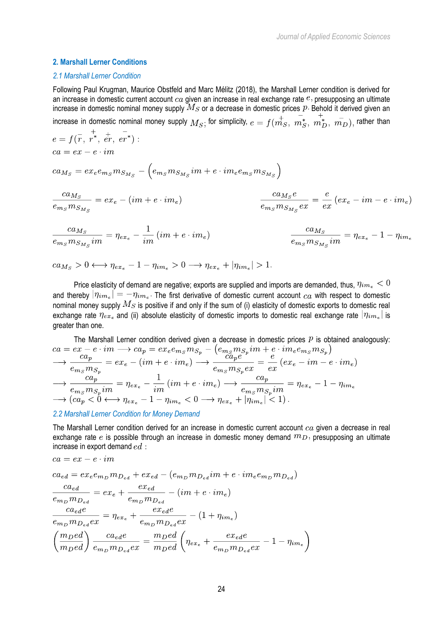## **2. Marshall Lerner Conditions**

#### *2.1 Marshall Lerner Condition*

Following Paul Krugman, Maurice Obstfeld and Marc Mélitz (2018), the Marshall Lerner condition is derived for an increase in domestic current account  $ca$  given an increase in real exchange rate  $e$ , presupposing an ultimate increase in domestic nominal money supply  $M_S$  or a decrease in domestic prices  $P$ . Behold it derived given an

increase in domestic nominal money supply  $M_S$ ; for simplicity,  $e = f(\stackrel{\leftarrow}{m_S}, \stackrel{\leftarrow}{m_S}, \stackrel{\leftarrow}{m_D}, \stackrel{\leftarrow}{m_D})$ , rather than  $\sim 1$ 

$$
e = f(\overline{r}, r^*, \overline{er}, er^*) :
$$
  

$$
ca = ex - e \cdot im
$$

 $ca_{M_S} = ex_e e_{m_S} m_{S_{M_S}} - \left(e_{m_S} m_{S_{M_S}} im + e \cdot im_e e_{m_S} m_{S_{M_S}}\right)$ 

$$
\frac{ca_{M_S}}{e_{m_S}m_{S_{M_S}}} = ex_e - (im + e \cdot im_e) \qquad \qquad \frac{ca_{M_S}e}{e_{m_S}m_{S_{M_S}}ex} = \frac{e}{ex}(ex_e - im - e \cdot im_e)
$$

$$
\frac{ca_{M_S}}{e_{m_S}m_{S_{M_S}}im} = \eta_{ex_e} - \frac{1}{im}\left(im + e \cdot im_e\right) \qquad \qquad \frac{ca_{M_S}}{e_{m_S}m_{S_{M_S}}im} = \eta_{ex_e} - 1 - \eta_{im_e}
$$

$$
ca_{M_S} > 0 \longleftrightarrow \eta_{ex_e} - 1 - \eta_{im_e} > 0 \longrightarrow \eta_{ex_e} + |\eta_{im_e}| > 1
$$

Price elasticity of demand are negative; exports are supplied and imports are demanded, thus,  $\eta_{im_e} < 0$ and thereby  $|\eta_{im_e}| = -\eta_{im_e}$ . The first derivative of domestic current account  $ca$  with respect to domestic nominal money supply  $M_S$  is positive if and only if the sum of (i) elasticity of domestic exports to domestic real exchange rate  $\eta_{ex_e}$  and (ii) absolute elasticity of domestic imports to domestic real exchange rate  $|\eta_{im_e}|$  is greater than one.

The Marshall Lerner condition derived given a decrease in domestic prices P is obtained analogously:<br>  $ca = ex - e \cdot im \longrightarrow ca_p = ex_e e_{m_S} m_{S_p} - (e_{m_S} m_{S_p} im + e \cdot im_e e_{m_S} m_{S_p})$ <br>  $\longrightarrow \frac{ca_p}{e_{m_S} m_{S_p}} = ex_e - (im + e \cdot im_e) \longrightarrow \frac{ca_p e}{e_{m_S} m_{S_p} ex} = \frac{e}{ex}$  $\longrightarrow \frac{ca_p}{e_{m_S}m_{S_p}im} = \eta_{ex_e} - \frac{1}{im} (im + e \cdot im_e) \longrightarrow \frac{ca_p}{e_{m_S}m_{S_p}im} = \eta_{ex_e} - 1 - \eta_{im_e}$ <br>  $\longrightarrow (ca_p < 0 \longleftrightarrow \eta_{ex_e} - 1 - \eta_{im_e} < 0 \longrightarrow \eta_{ex_e} + |\eta_{im_e}| < 1).$ 

## *2.2 Marshall Lerner Condition for Money Demand*

 $\sim$ 

The Marshall Lerner condition derived for an increase in domestic current account  $ca$  given a decrease in real exchange rate e is possible through an increase in domestic money demand  $m_D$ , presupposing an ultimate increase in export demand  $ed$ :

$$
ca = ex - e \cdot im
$$
  
\n
$$
ca_{ed} = ex_{e}e_{m_{D}}m_{D_{ed}} + ex_{ed} - (e_{m_{D}}m_{D_{ed}}im + e \cdot im_{e}e_{m_{D}}m_{D_{ed}})
$$
  
\n
$$
\frac{ca_{ed}}{e_{m_{D}}m_{D_{ed}}} = ex_{e} + \frac{ex_{ed}}{e_{m_{D}}m_{D_{ed}}} - (im + e \cdot im_{e})
$$
  
\n
$$
\frac{ca_{ed}e}{e_{m_{D}}m_{D_{ed}}ex} = \eta_{ex_{e}} + \frac{ex_{ed}e}{e_{m_{D}}m_{D_{ed}}ex} - (1 + \eta_{im_{e}})
$$
  
\n
$$
\left(\frac{m_{D}ed}{m_{D}ed}\right) \frac{ca_{ed}e}{e_{m_{D}}m_{D_{ed}}ex} = \frac{m_{D}ed}{m_{D}ed} \left(\eta_{ex_{e}} + \frac{ex_{ed}e}{e_{m_{D}}m_{D_{ed}}ex} - 1 - \eta_{im_{e}}\right)
$$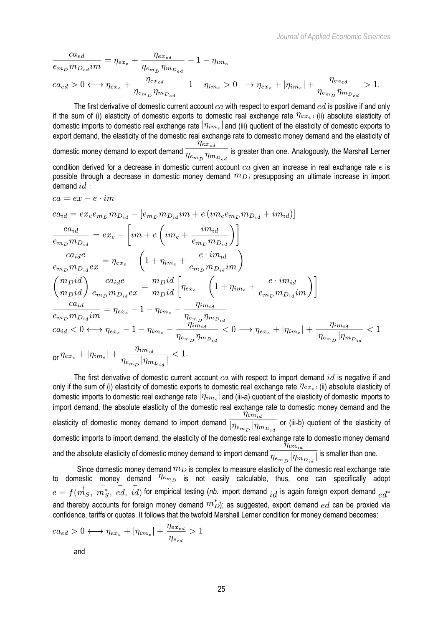$$
\frac{ca_{ed}}{e_{m_D}m_{D_{ed}}im} = \eta_{ex_e} + \frac{\eta_{ex_{ed}}}{\eta_{e_{m_D}}\eta_{m_{D_{ed}}}} - 1 - \eta_{im_e}
$$
\n
$$
ca_{ed} > 0 \longleftrightarrow \eta_{ex_e} + \frac{\eta_{ex_{ed}}}{\eta_{e_{m_D}}\eta_{m_{D_{ed}}}} - 1 - \eta_{im_e} > 0 \longrightarrow \eta_{ex_e} + |\eta_{im_e}| + \frac{\eta_{ex_{ed}}}{\eta_{e_{m_D}}\eta_{m_{D_{ed}}}} > 1.
$$

The first derivative of domestic current account  $ca$  with respect to export demand  $ed$  is positive if and only if the sum of (i) elasticity of domestic exports to domestic real exchange rate  $\eta_{ex_e}$ , (ii) absolute elasticity of domestic imports to domestic real exchange rate  $|\eta_{im_e}|$  and (iii) quotient of the elasticity of domestic exports to export demand, the elasticity of the domestic real exchange rate to domestic money demand and the elasticity of  $\frac{\eta_{ex_{ed}}}{\eta_{ex_{ed}}}$ domestic money demand to export demand  $\frac{m_{e_{m}}m_{e_{e}}}{\eta_{e_{m}}m_{e_{e_{e}}}}$  is greater than one. Analogously, the Marshall Lerner condition derived for a decrease in domestic current account  $ca$  given an increase in real exchange rate  $e$  is possible through a decrease in domestic money demand  $m_D$ , presupposing an ultimate increase in import demand  $id$ :

$$
ca = ex - e \cdot im
$$
  
\n
$$
ca_{id} = ex_{e}e_{m_{D}}m_{D_{id}} - [e_{m_{D}}m_{D_{id}}im + e(im_{e}e_{m_{D}}m_{D_{id}} + im_{id})]
$$
  
\n
$$
\frac{ca_{id}}{e_{m_{D}}m_{D_{id}}} = ex_{e} - [im + e(im_{e} + \frac{im_{id}}{e_{m_{D}}m_{D_{id}}})]
$$
  
\n
$$
\frac{ca_{id}}{e_{m_{D}}m_{D_{id}}ex} = \eta_{ex_{e}} - (1 + \eta_{im_{e}} + \frac{e \cdot im_{id}}{e_{m_{D}}m_{D_{id}}im})
$$
  
\n
$$
\left(\frac{m_{D}id}{m_{D}id}\right) \frac{ca_{id}}{e_{m_{D}}m_{D_{id}}ex} = \frac{m_{D}id}{m_{D}id} \left[\eta_{ex_{e}} - (1 + \eta_{im_{e}} + \frac{e \cdot im_{id}}{e_{m_{D}}m_{D_{id}}im})\right]
$$
  
\n
$$
\frac{ca_{id}}{e_{m_{D}}m_{D_{id}}im} = \eta_{ex_{e}} - 1 - \eta_{im_{e}} - \frac{\eta_{im_{id}}}{\eta_{e_{m_{D}}}\eta_{m_{D_{id}}}} < 0 \longrightarrow \eta_{ex_{e}} + |\eta_{im_{e}}| + \frac{\eta_{im_{id}}}{|\eta_{e_{m_{D}}}|\eta_{m_{D_{id}}}} < 1
$$
  
\n
$$
or \eta_{ex_{e}} + |\eta_{im_{e}}| + \frac{\eta_{im_{id}}}{\eta_{e_{m_{D}}}|\eta_{m_{D_{id}}}|} < 1.
$$

The first derivative of domestic current account  $ca$  with respect to import demand  $id$  is negative if and only if the sum of (i) elasticity of domestic exports to domestic real exchange rate  $\eta_{ex_e}$ , (ii) absolute elasticity of domestic imports to domestic real exchange rate  $\vert \eta_{im_e} \vert$  and (iii-a) quotient of the elasticity of domestic imports to import demand, the absolute elasticity of the domestic real exchange rate to domestic money demand and the elasticity of domestic money demand to import demand  $\frac{\eta_{im_{id}}}{|\eta_{e_{m_D}}|\eta_{m_{D_{id}}}}$  or (iii-b) quotient of the elasticity of domestic imports to import demand, the elasticity of the domestic real exchange rate to domestic money demand and the absolute elasticity of domestic money demand to import demand  $\overline{n_{s} - |n_{s} - |}$  is smaller than one.

Since domestic money demand  $m_D$  is complex to measure elasticity of the domestic real exchange rate to domestic money demand  $^{7l e_{m_D}}$  is not easily calculable, thus, one can specifically adopt for empirical testing (*nb.* import demand  $i_{sd}$  is again foreign export demand and thereby accounts for foreign money demand  $m_D^*$ ); as suggested, export demand  $ed$  can be proxied via confidence, tariffs or quotas. It follows that the twofold Marshall Lerner condition for money demand becomes:

$$
ca_{ed} > 0 \longleftrightarrow \eta_{ex_e} + |\eta_{im_e}| + \frac{\eta_{ex_{ed}}}{\eta_{e_{ed}}} > 1
$$
 and